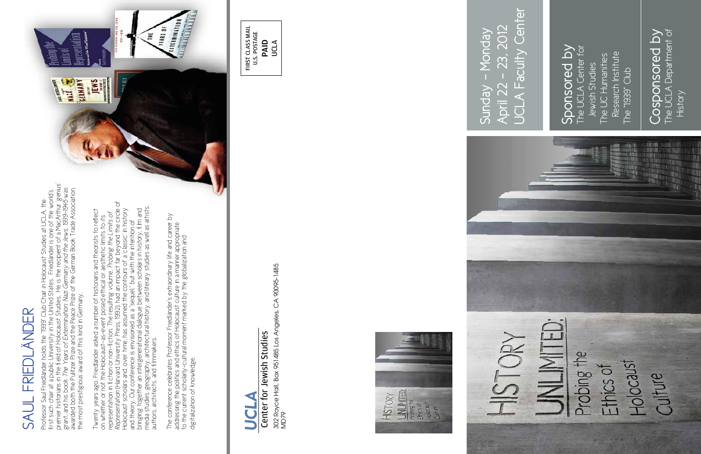## Center for Jewish Studies Center for Jewish Studies

302 Royce Hall, Box 951485 Los Angeles, CA 90095-1485 302 Royce Hall, Box 951485 Los Angeles, CA 90095-1485<br>MD79



 $-23, 2012$ April 22 - 23, 2012 Sunday - Monday Sunday - Monday April 22 -



### SAUL FRIEDLÄNDER **FREDLÄNDER** SAUL

#### The UCLA Center for Sponsored by Sponsored by The UCLA Center for The UC Humanities Research Institute Research Institute The UC Humanities Jewish Studies Jewish Studies The "1939" Club The "1939" Club

#### The UCLA Department of The UCLA Department of Cosponsored by Cosponsored by History



Professor Saul Friedländer holds the "1939" Club Chair in Holocaust Studies at UCLA, the<br>first such chair at a public University in the United States. Friedländer is one of the world's<br>premier historians in the field of Ho premier historians in the field of Holocaust Studies. He is the recipient of a MacArthur 'genius' awarded both the Pulitzer Prize and the Peace Prize of the German Book Trade Association, grant, and his book *The Years of Extermination: Nazi Germany and the Jews, 1939-1945* was first such chair at a public University in the United States. Friedländer is one of the world's Professor Saul Friedländer holds the "1939" Club Chair in Holocaust Studies at UCLA, the the most prestigious award of this kind in Germany.

Twenty years ago, Friedländer asked a number of historians and theorists to reflect<br>on whether or not the Holocaust-as-event posed ethical or aesthetic limits to its<br>representation in fiction or non-fiction. The resulting *Representation* (Harvard University Press, 1992), had an impact far beyond the circle of media studies, geography, architectural history, and literary studies as well as artists, Holocaust scholars and, over time, has assumed the contours of a 'classic' in history bringing together an intergenerational dialogue between scholars in history, film and Twenty years ago, Friedländer asked a number of historians and theorists to reflect representation in fiction or non-fiction. The resulting volume, *Probing the Limits of*  on whether or not the Holocaust-as-event posed ethical or aesthetic limits to its and theory. Our conference is envisioned as a "sequel," but with the intention of authors, architects, and filmmakers.

The conference celebrates Professor Friedländer's extraordinary life and career by<br>addressing the politics and ethics of Holocaust culture in a manner appropriate<br>to the current scholarly-cultural moment marked by the glob The conference celebrates Professor Friedländer's extraordinary life and career by addressing the politics and ethics of Holocaust culture in a manner appropriate to the current scholarly-cultural moment marked by the globalization and digitalization of knowledge. digitalization of knowledge.



# SC

First Class Mail U.S. POSTAGE PAID UCLA